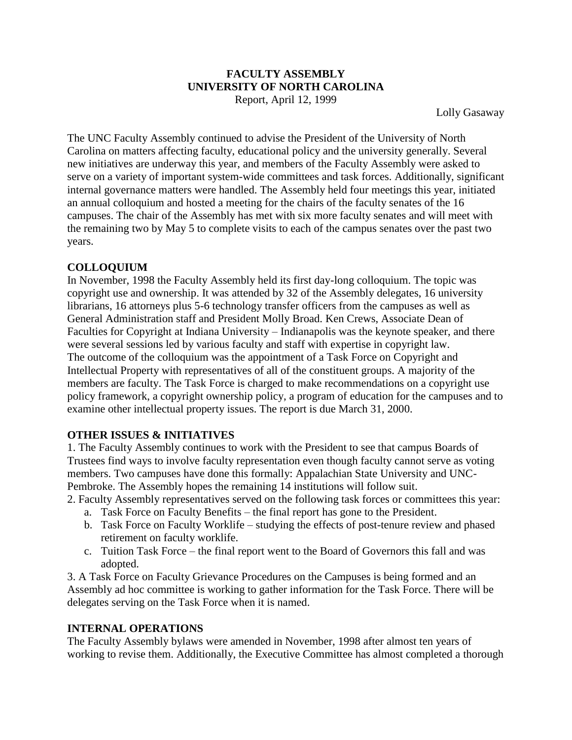## **FACULTY ASSEMBLY UNIVERSITY OF NORTH CAROLINA**

Report, April 12, 1999

Lolly Gasaway

The UNC Faculty Assembly continued to advise the President of the University of North Carolina on matters affecting faculty, educational policy and the university generally. Several new initiatives are underway this year, and members of the Faculty Assembly were asked to serve on a variety of important system-wide committees and task forces. Additionally, significant internal governance matters were handled. The Assembly held four meetings this year, initiated an annual colloquium and hosted a meeting for the chairs of the faculty senates of the 16 campuses. The chair of the Assembly has met with six more faculty senates and will meet with the remaining two by May 5 to complete visits to each of the campus senates over the past two years.

## **COLLOQUIUM**

In November, 1998 the Faculty Assembly held its first day-long colloquium. The topic was copyright use and ownership. It was attended by 32 of the Assembly delegates, 16 university librarians, 16 attorneys plus 5-6 technology transfer officers from the campuses as well as General Administration staff and President Molly Broad. Ken Crews, Associate Dean of Faculties for Copyright at Indiana University – Indianapolis was the keynote speaker, and there were several sessions led by various faculty and staff with expertise in copyright law. The outcome of the colloquium was the appointment of a Task Force on Copyright and Intellectual Property with representatives of all of the constituent groups. A majority of the members are faculty. The Task Force is charged to make recommendations on a copyright use policy framework, a copyright ownership policy, a program of education for the campuses and to examine other intellectual property issues. The report is due March 31, 2000.

## **OTHER ISSUES & INITIATIVES**

1. The Faculty Assembly continues to work with the President to see that campus Boards of Trustees find ways to involve faculty representation even though faculty cannot serve as voting members. Two campuses have done this formally: Appalachian State University and UNC-Pembroke. The Assembly hopes the remaining 14 institutions will follow suit.

- 2. Faculty Assembly representatives served on the following task forces or committees this year:
	- a. Task Force on Faculty Benefits the final report has gone to the President.
	- b. Task Force on Faculty Worklife studying the effects of post-tenure review and phased retirement on faculty worklife.
	- c. Tuition Task Force the final report went to the Board of Governors this fall and was adopted.

3. A Task Force on Faculty Grievance Procedures on the Campuses is being formed and an Assembly ad hoc committee is working to gather information for the Task Force. There will be delegates serving on the Task Force when it is named.

## **INTERNAL OPERATIONS**

The Faculty Assembly bylaws were amended in November, 1998 after almost ten years of working to revise them. Additionally, the Executive Committee has almost completed a thorough